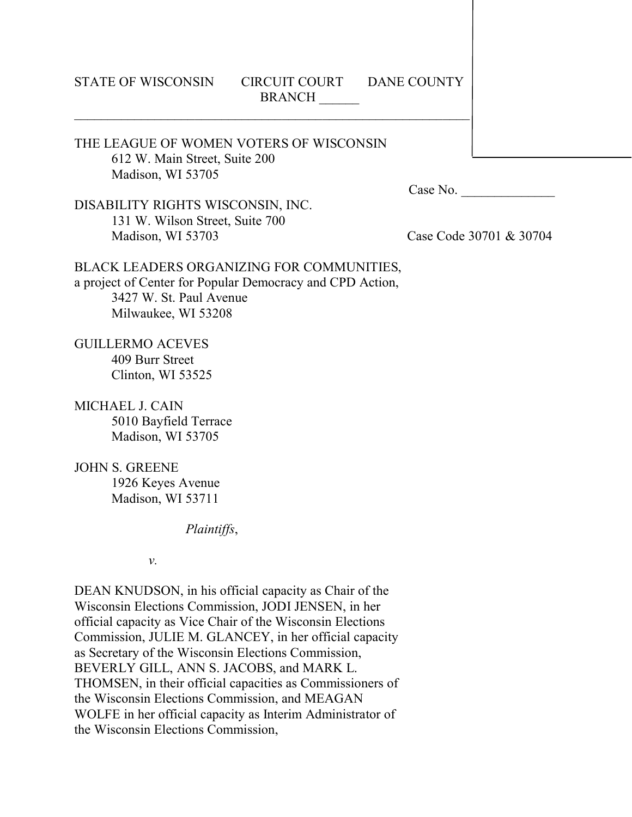## STATE OF WISCONSIN CIRCUIT COURT DANE COUNTY **BRANCH**

# THE LEAGUE OF WOMEN VOTERS OF WISCONSIN 612 W. Main Street, Suite 200 Madison, WI 53705

Case No.

DISABILITY RIGHTS WISCONSIN, INC. 131 W. Wilson Street, Suite 700 Madison, WI 53703 Case Code 30701 & 30704

## BLACK LEADERS ORGANIZING FOR COMMUNITIES, a project of Center for Popular Democracy and CPD Action, 3427 W. St. Paul Avenue Milwaukee, WI 53208

GUILLERMO ACEVES 409 Burr Street Clinton, WI 53525

MICHAEL J. CAIN 5010 Bayfield Terrace Madison, WI 53705

JOHN S. GREENE 1926 Keyes Avenue Madison, WI 53711

*Plaintiffs*,

*v.*

DEAN KNUDSON, in his official capacity as Chair of the Wisconsin Elections Commission, JODI JENSEN, in her official capacity as Vice Chair of the Wisconsin Elections Commission, JULIE M. GLANCEY, in her official capacity as Secretary of the Wisconsin Elections Commission, BEVERLY GILL, ANN S. JACOBS, and MARK L. THOMSEN, in their official capacities as Commissioners of the Wisconsin Elections Commission, and MEAGAN WOLFE in her official capacity as Interim Administrator of the Wisconsin Elections Commission,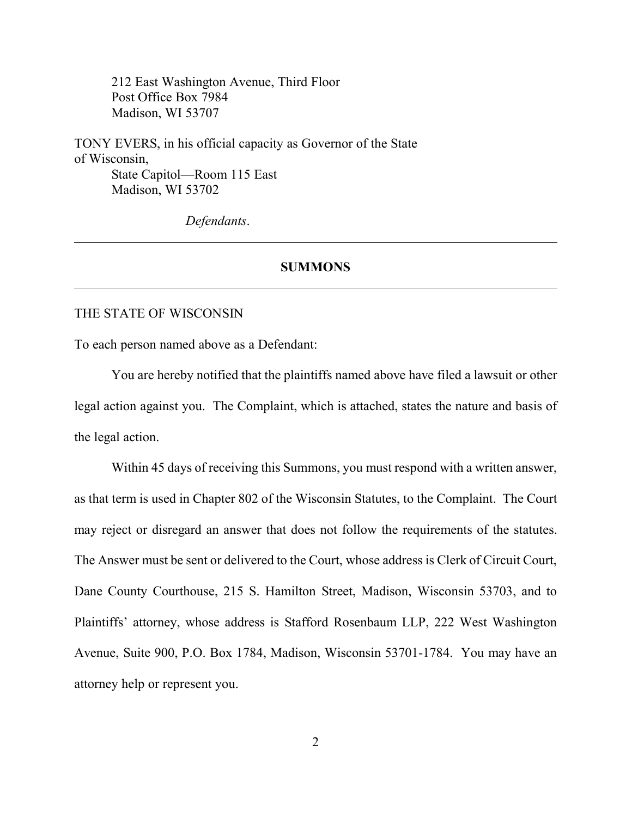212 East Washington Avenue, Third Floor Post Office Box 7984 Madison, WI 53707

TONY EVERS, in his official capacity as Governor of the State of Wisconsin, State Capitol—Room 115 East Madison, WI 53702

*Defendants*.

## **SUMMONS**

### THE STATE OF WISCONSIN

To each person named above as a Defendant:

You are hereby notified that the plaintiffs named above have filed a lawsuit or other legal action against you. The Complaint, which is attached, states the nature and basis of the legal action.

Within 45 days of receiving this Summons, you must respond with a written answer, as that term is used in Chapter 802 of the Wisconsin Statutes, to the Complaint. The Court may reject or disregard an answer that does not follow the requirements of the statutes. The Answer must be sent or delivered to the Court, whose address is Clerk of Circuit Court, Dane County Courthouse, 215 S. Hamilton Street, Madison, Wisconsin 53703, and to Plaintiffs' attorney, whose address is Stafford Rosenbaum LLP, 222 West Washington Avenue, Suite 900, P.O. Box 1784, Madison, Wisconsin 53701-1784. You may have an attorney help or represent you.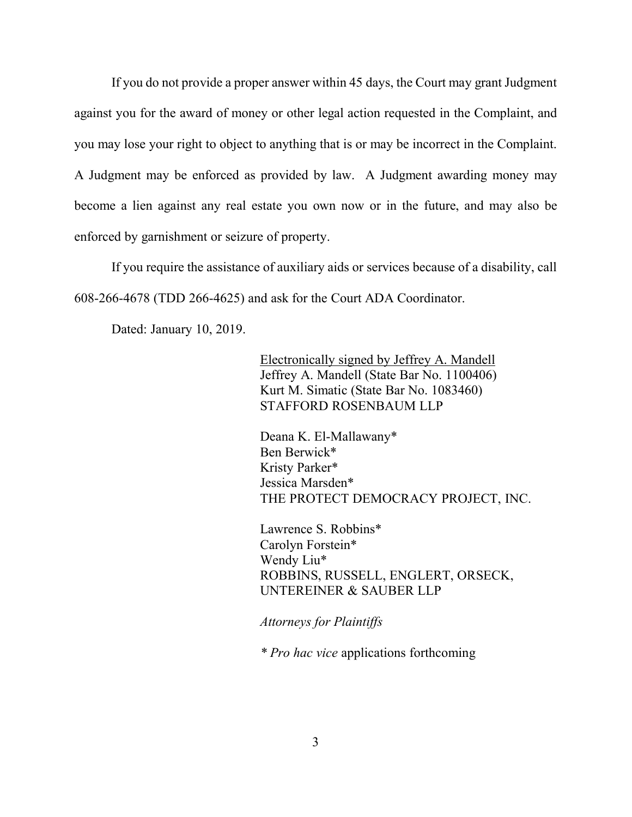If you do not provide a proper answer within 45 days, the Court may grant Judgment against you for the award of money or other legal action requested in the Complaint, and you may lose your right to object to anything that is or may be incorrect in the Complaint. A Judgment may be enforced as provided by law. A Judgment awarding money may become a lien against any real estate you own now or in the future, and may also be enforced by garnishment or seizure of property.

If you require the assistance of auxiliary aids or services because of a disability, call 608-266-4678 (TDD 266-4625) and ask for the Court ADA Coordinator.

Dated: January 10, 2019.

Electronically signed by Jeffrey A. Mandell Jeffrey A. Mandell (State Bar No. 1100406) Kurt M. Simatic (State Bar No. 1083460) STAFFORD ROSENBAUM LLP

Deana K. El-Mallawany\* Ben Berwick\* Kristy Parker\* Jessica Marsden\* THE PROTECT DEMOCRACY PROJECT, INC.

Lawrence S. Robbins\* Carolyn Forstein\* Wendy Liu\* ROBBINS, RUSSELL, ENGLERT, ORSECK, UNTEREINER & SAUBER LLP

*Attorneys for Plaintiffs*

*\* Pro hac vice* applications forthcoming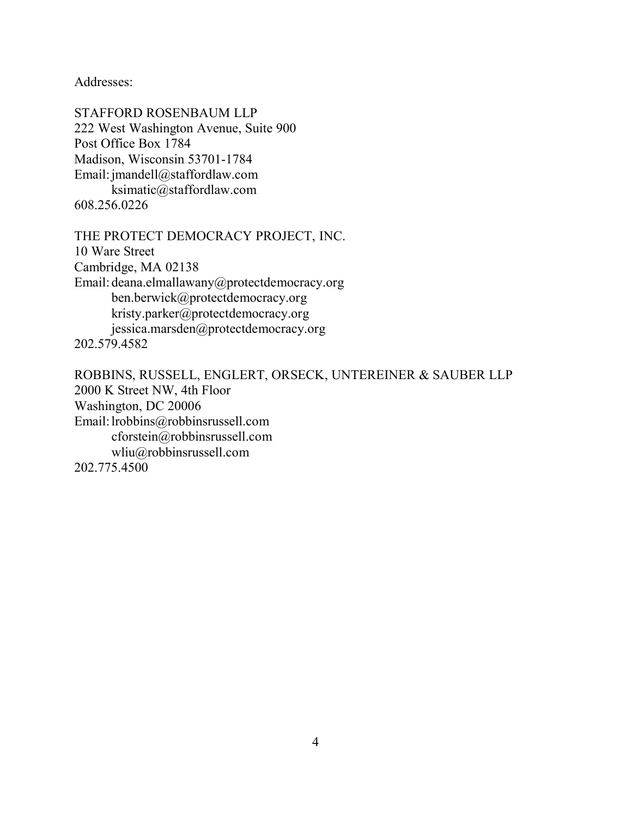Addresses:

STAFFORD ROSENBAUM LLP 222 West Washington Avenue, Suite 900 Post Office Box 1784 Madison, Wisconsin 53701-1784 Email: jmandell@staffordlaw.com ksimatic@staffordlaw.com 608.256.0226

THE PROTECT DEMOCRACY PROJECT, INC.

10 Ware Street Cambridge, MA 02138 Email: deana.elmallawany@protectdemocracy.org ben.berwick@protectdemocracy.org kristy.parker@protectdemocracy.org jessica.marsden@protectdemocracy.org

202.579.4582

ROBBINS, RUSSELL, ENGLERT, ORSECK, UNTEREINER & SAUBER LLP 2000 K Street NW, 4th Floor Washington, DC 20006 Email: lrobbins@robbinsrussell.com cforstein@robbinsrussell.com wliu@robbinsrussell.com 202.775.4500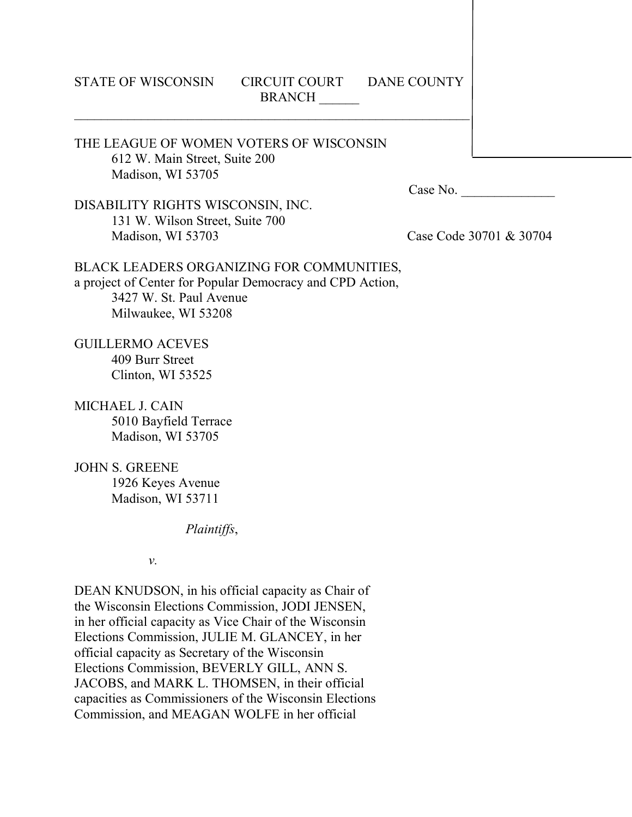## STATE OF WISCONSIN CIRCUIT COURT DANE COUNTY **BRANCH**

# THE LEAGUE OF WOMEN VOTERS OF WISCONSIN 612 W. Main Street, Suite 200 Madison, WI 53705

Case No.

DISABILITY RIGHTS WISCONSIN, INC. 131 W. Wilson Street, Suite 700 Madison, WI 53703 Case Code 30701 & 30704

## BLACK LEADERS ORGANIZING FOR COMMUNITIES, a project of Center for Popular Democracy and CPD Action, 3427 W. St. Paul Avenue Milwaukee, WI 53208

GUILLERMO ACEVES 409 Burr Street Clinton, WI 53525

MICHAEL J. CAIN 5010 Bayfield Terrace Madison, WI 53705

JOHN S. GREENE 1926 Keyes Avenue Madison, WI 53711

*Plaintiffs*,

*v.*

DEAN KNUDSON, in his official capacity as Chair of the Wisconsin Elections Commission, JODI JENSEN, in her official capacity as Vice Chair of the Wisconsin Elections Commission, JULIE M. GLANCEY, in her official capacity as Secretary of the Wisconsin Elections Commission, BEVERLY GILL, ANN S. JACOBS, and MARK L. THOMSEN, in their official capacities as Commissioners of the Wisconsin Elections Commission, and MEAGAN WOLFE in her official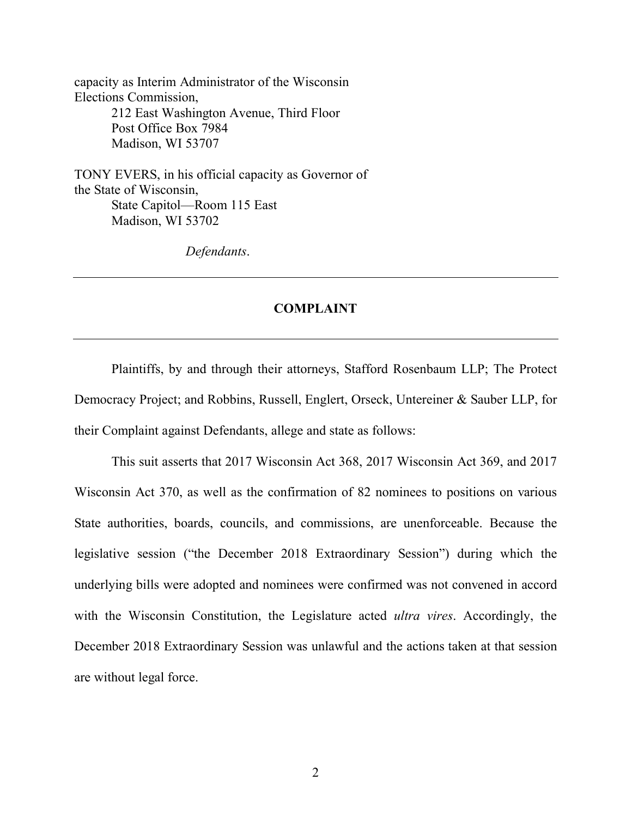capacity as Interim Administrator of the Wisconsin Elections Commission, 212 East Washington Avenue, Third Floor Post Office Box 7984

Madison, WI 53707

TONY EVERS, in his official capacity as Governor of the State of Wisconsin, State Capitol—Room 115 East Madison, WI 53702

*Defendants*.

# **COMPLAINT**

Plaintiffs, by and through their attorneys, Stafford Rosenbaum LLP; The Protect Democracy Project; and Robbins, Russell, Englert, Orseck, Untereiner & Sauber LLP, for their Complaint against Defendants, allege and state as follows:

This suit asserts that 2017 Wisconsin Act 368, 2017 Wisconsin Act 369, and 2017 Wisconsin Act 370, as well as the confirmation of 82 nominees to positions on various State authorities, boards, councils, and commissions, are unenforceable. Because the legislative session ("the December 2018 Extraordinary Session") during which the underlying bills were adopted and nominees were confirmed was not convened in accord with the Wisconsin Constitution, the Legislature acted *ultra vires*. Accordingly, the December 2018 Extraordinary Session was unlawful and the actions taken at that session are without legal force.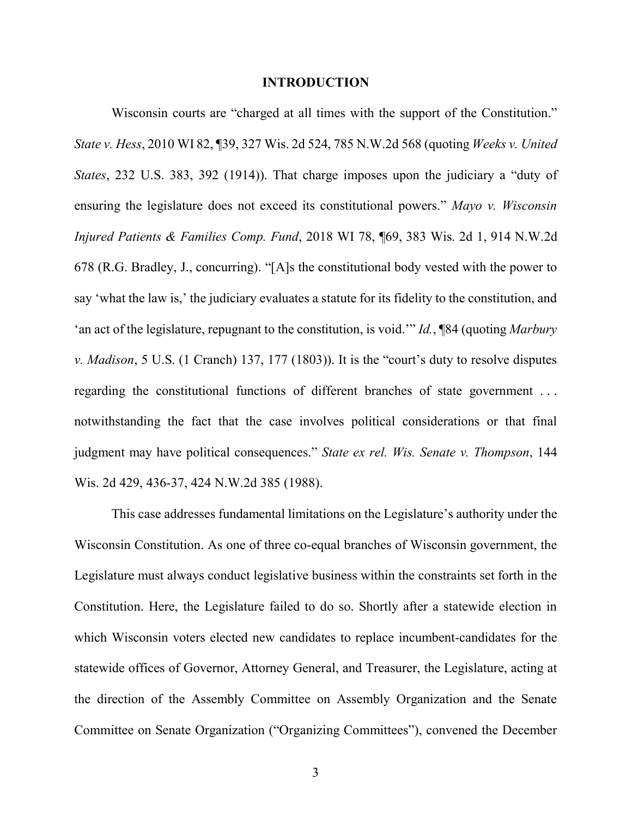### **INTRODUCTION**

Wisconsin courts are "charged at all times with the support of the Constitution." *State v. Hess*, 2010 WI 82, ¶39, 327 Wis. 2d 524, 785 N.W.2d 568 (quoting *Weeks v. United States*, 232 U.S. 383, 392 (1914)). That charge imposes upon the judiciary a "duty of ensuring the legislature does not exceed its constitutional powers." *Mayo v. Wisconsin Injured Patients & Families Comp. Fund*, 2018 WI 78, ¶69, 383 Wis. 2d 1, 914 N.W.2d 678 (R.G. Bradley, J., concurring). "[A]s the constitutional body vested with the power to say 'what the law is,' the judiciary evaluates a statute for its fidelity to the constitution, and 'an act of the legislature, repugnant to the constitution, is void.'" *Id.*, ¶84 (quoting *Marbury v. Madison*, 5 U.S. (1 Cranch) 137, 177 (1803)). It is the "court's duty to resolve disputes regarding the constitutional functions of different branches of state government . . . notwithstanding the fact that the case involves political considerations or that final judgment may have political consequences." *State ex rel. Wis. Senate v. Thompson*, 144 Wis. 2d 429, 436-37, 424 N.W.2d 385 (1988).

This case addresses fundamental limitations on the Legislature's authority under the Wisconsin Constitution. As one of three co-equal branches of Wisconsin government, the Legislature must always conduct legislative business within the constraints set forth in the Constitution. Here, the Legislature failed to do so. Shortly after a statewide election in which Wisconsin voters elected new candidates to replace incumbent-candidates for the statewide offices of Governor, Attorney General, and Treasurer, the Legislature, acting at the direction of the Assembly Committee on Assembly Organization and the Senate Committee on Senate Organization ("Organizing Committees"), convened the December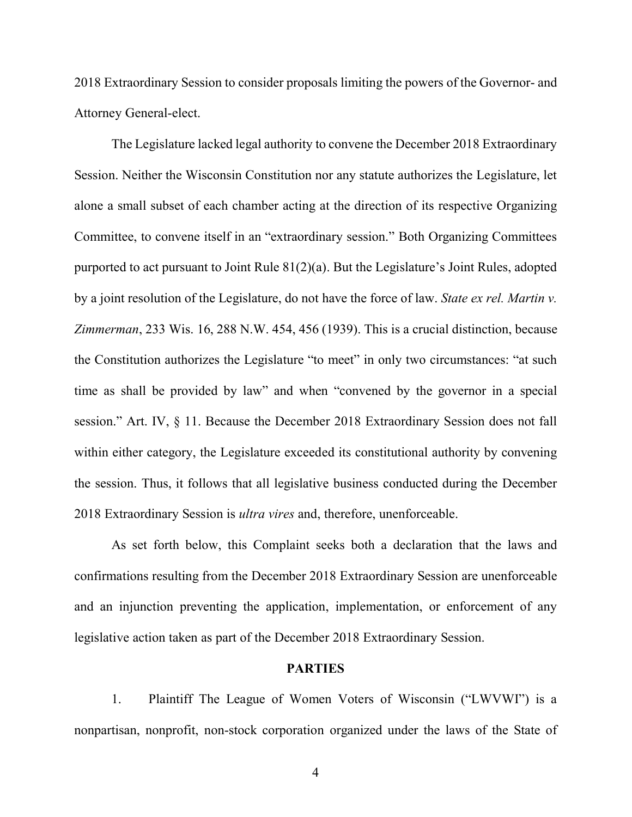2018 Extraordinary Session to consider proposals limiting the powers of the Governor- and Attorney General-elect.

The Legislature lacked legal authority to convene the December 2018 Extraordinary Session. Neither the Wisconsin Constitution nor any statute authorizes the Legislature, let alone a small subset of each chamber acting at the direction of its respective Organizing Committee, to convene itself in an "extraordinary session." Both Organizing Committees purported to act pursuant to Joint Rule 81(2)(a). But the Legislature's Joint Rules, adopted by a joint resolution of the Legislature, do not have the force of law. *State ex rel. Martin v. Zimmerman*, 233 Wis. 16, 288 N.W. 454, 456 (1939). This is a crucial distinction, because the Constitution authorizes the Legislature "to meet" in only two circumstances: "at such time as shall be provided by law" and when "convened by the governor in a special session." Art. IV, § 11. Because the December 2018 Extraordinary Session does not fall within either category, the Legislature exceeded its constitutional authority by convening the session. Thus, it follows that all legislative business conducted during the December 2018 Extraordinary Session is *ultra vires* and, therefore, unenforceable.

As set forth below, this Complaint seeks both a declaration that the laws and confirmations resulting from the December 2018 Extraordinary Session are unenforceable and an injunction preventing the application, implementation, or enforcement of any legislative action taken as part of the December 2018 Extraordinary Session.

### **PARTIES**

1. Plaintiff The League of Women Voters of Wisconsin ("LWVWI") is a nonpartisan, nonprofit, non-stock corporation organized under the laws of the State of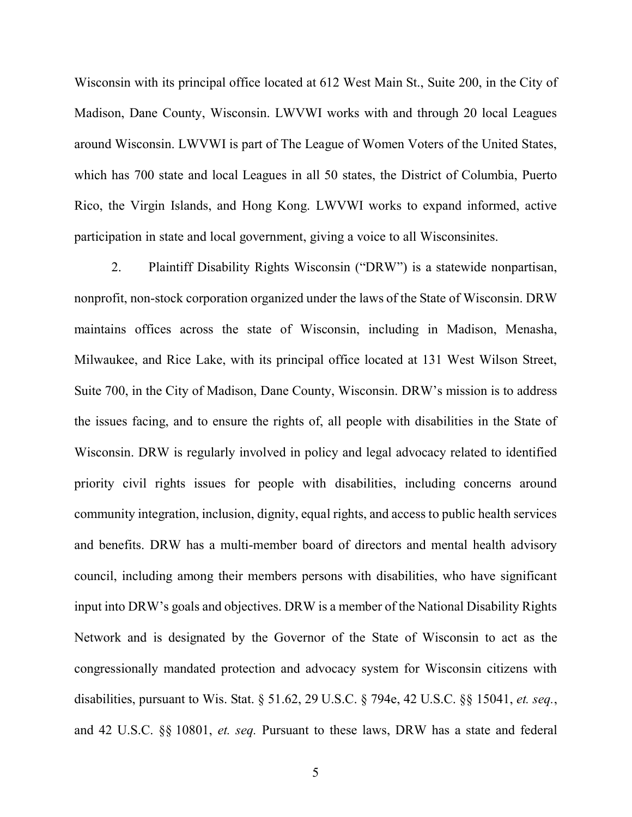Wisconsin with its principal office located at 612 West Main St., Suite 200, in the City of Madison, Dane County, Wisconsin. LWVWI works with and through 20 local Leagues around Wisconsin. LWVWI is part of The League of Women Voters of the United States, which has 700 state and local Leagues in all 50 states, the District of Columbia, Puerto Rico, the Virgin Islands, and Hong Kong. LWVWI works to expand informed, active participation in state and local government, giving a voice to all Wisconsinites.

2. Plaintiff Disability Rights Wisconsin ("DRW") is a statewide nonpartisan, nonprofit, non-stock corporation organized under the laws of the State of Wisconsin. DRW maintains offices across the state of Wisconsin, including in Madison, Menasha, Milwaukee, and Rice Lake, with its principal office located at 131 West Wilson Street, Suite 700, in the City of Madison, Dane County, Wisconsin. DRW's mission is to address the issues facing, and to ensure the rights of, all people with disabilities in the State of Wisconsin. DRW is regularly involved in policy and legal advocacy related to identified priority civil rights issues for people with disabilities, including concerns around community integration, inclusion, dignity, equal rights, and access to public health services and benefits. DRW has a multi-member board of directors and mental health advisory council, including among their members persons with disabilities, who have significant input into DRW's goals and objectives. DRW is a member of the National Disability Rights Network and is designated by the Governor of the State of Wisconsin to act as the congressionally mandated protection and advocacy system for Wisconsin citizens with disabilities, pursuant to Wis. Stat. § 51.62, 29 U.S.C. § 794e, 42 U.S.C. §§ 15041, *et. seq.*, and 42 U.S.C. §§ 10801, *et. seq.* Pursuant to these laws, DRW has a state and federal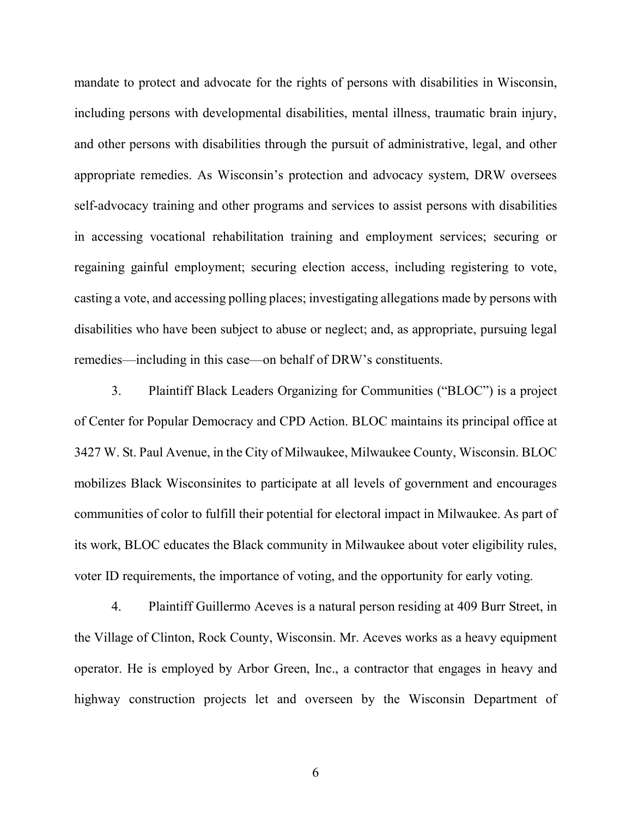mandate to protect and advocate for the rights of persons with disabilities in Wisconsin, including persons with developmental disabilities, mental illness, traumatic brain injury, and other persons with disabilities through the pursuit of administrative, legal, and other appropriate remedies. As Wisconsin's protection and advocacy system, DRW oversees self-advocacy training and other programs and services to assist persons with disabilities in accessing vocational rehabilitation training and employment services; securing or regaining gainful employment; securing election access, including registering to vote, casting a vote, and accessing polling places; investigating allegations made by persons with disabilities who have been subject to abuse or neglect; and, as appropriate, pursuing legal remedies—including in this case—on behalf of DRW's constituents.

3. Plaintiff Black Leaders Organizing for Communities ("BLOC") is a project of Center for Popular Democracy and CPD Action. BLOC maintains its principal office at 3427 W. St. Paul Avenue, in the City of Milwaukee, Milwaukee County, Wisconsin. BLOC mobilizes Black Wisconsinites to participate at all levels of government and encourages communities of color to fulfill their potential for electoral impact in Milwaukee. As part of its work, BLOC educates the Black community in Milwaukee about voter eligibility rules, voter ID requirements, the importance of voting, and the opportunity for early voting.

4. Plaintiff Guillermo Aceves is a natural person residing at 409 Burr Street, in the Village of Clinton, Rock County, Wisconsin. Mr. Aceves works as a heavy equipment operator. He is employed by Arbor Green, Inc., a contractor that engages in heavy and highway construction projects let and overseen by the Wisconsin Department of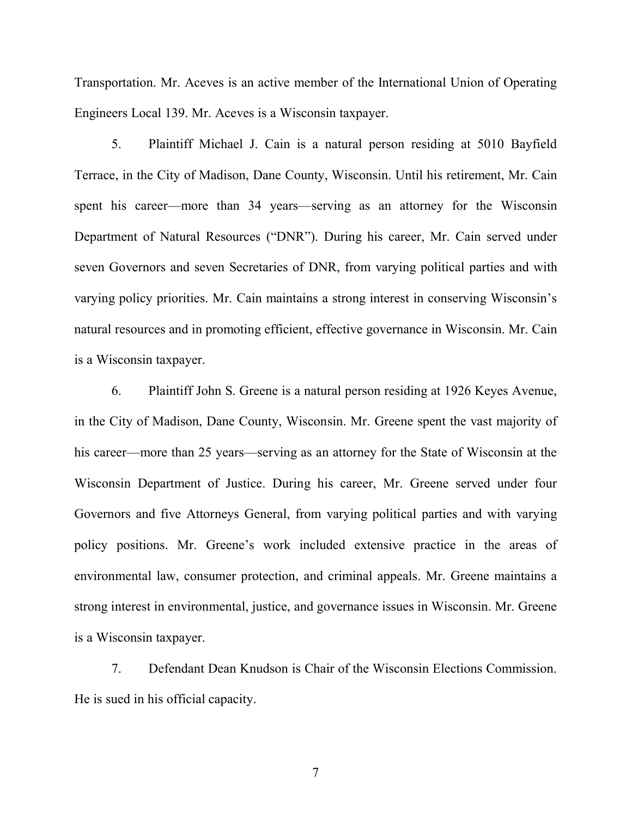Transportation. Mr. Aceves is an active member of the International Union of Operating Engineers Local 139. Mr. Aceves is a Wisconsin taxpayer.

5. Plaintiff Michael J. Cain is a natural person residing at 5010 Bayfield Terrace, in the City of Madison, Dane County, Wisconsin. Until his retirement, Mr. Cain spent his career—more than 34 years—serving as an attorney for the Wisconsin Department of Natural Resources ("DNR"). During his career, Mr. Cain served under seven Governors and seven Secretaries of DNR, from varying political parties and with varying policy priorities. Mr. Cain maintains a strong interest in conserving Wisconsin's natural resources and in promoting efficient, effective governance in Wisconsin. Mr. Cain is a Wisconsin taxpayer.

6. Plaintiff John S. Greene is a natural person residing at 1926 Keyes Avenue, in the City of Madison, Dane County, Wisconsin. Mr. Greene spent the vast majority of his career—more than 25 years—serving as an attorney for the State of Wisconsin at the Wisconsin Department of Justice. During his career, Mr. Greene served under four Governors and five Attorneys General, from varying political parties and with varying policy positions. Mr. Greene's work included extensive practice in the areas of environmental law, consumer protection, and criminal appeals. Mr. Greene maintains a strong interest in environmental, justice, and governance issues in Wisconsin. Mr. Greene is a Wisconsin taxpayer.

7. Defendant Dean Knudson is Chair of the Wisconsin Elections Commission. He is sued in his official capacity.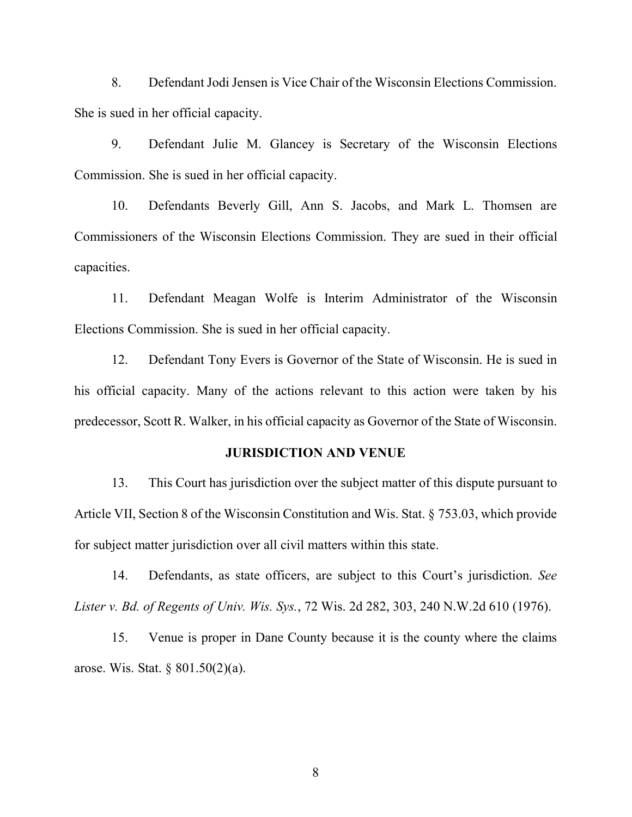8. Defendant Jodi Jensen is Vice Chair of the Wisconsin Elections Commission. She is sued in her official capacity.

9. Defendant Julie M. Glancey is Secretary of the Wisconsin Elections Commission. She is sued in her official capacity.

10. Defendants Beverly Gill, Ann S. Jacobs, and Mark L. Thomsen are Commissioners of the Wisconsin Elections Commission. They are sued in their official capacities.

11. Defendant Meagan Wolfe is Interim Administrator of the Wisconsin Elections Commission. She is sued in her official capacity.

12. Defendant Tony Evers is Governor of the State of Wisconsin. He is sued in his official capacity. Many of the actions relevant to this action were taken by his predecessor, Scott R. Walker, in his official capacity as Governor of the State of Wisconsin.

### **JURISDICTION AND VENUE**

13. This Court has jurisdiction over the subject matter of this dispute pursuant to Article VII, Section 8 of the Wisconsin Constitution and Wis. Stat. § 753.03, which provide for subject matter jurisdiction over all civil matters within this state.

14. Defendants, as state officers, are subject to this Court's jurisdiction. *See Lister v. Bd. of Regents of Univ. Wis. Sys.*, 72 Wis. 2d 282, 303, 240 N.W.2d 610 (1976).

15. Venue is proper in Dane County because it is the county where the claims arose. Wis. Stat. § 801.50(2)(a).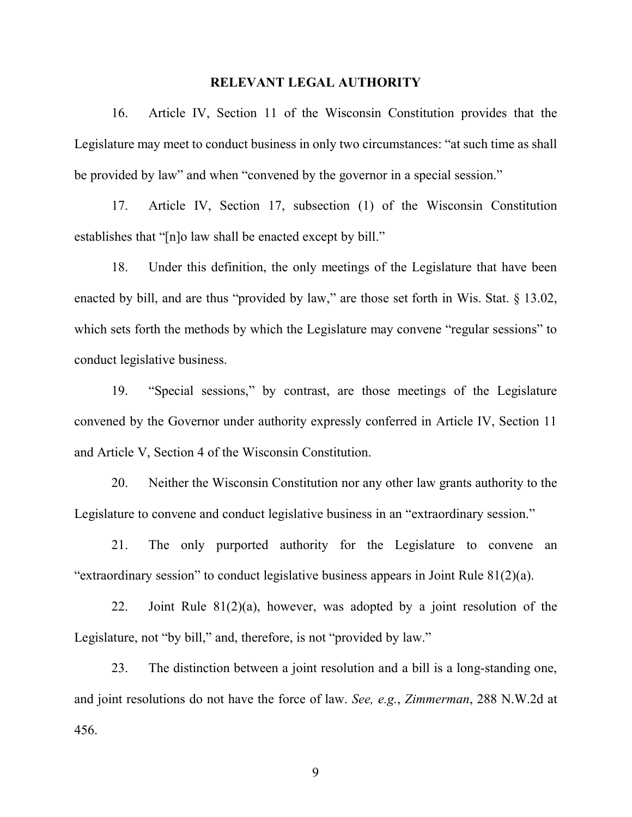#### **RELEVANT LEGAL AUTHORITY**

16. Article IV, Section 11 of the Wisconsin Constitution provides that the Legislature may meet to conduct business in only two circumstances: "at such time as shall be provided by law" and when "convened by the governor in a special session."

17. Article IV, Section 17, subsection (1) of the Wisconsin Constitution establishes that "[n]o law shall be enacted except by bill."

18. Under this definition, the only meetings of the Legislature that have been enacted by bill, and are thus "provided by law," are those set forth in Wis. Stat. § 13.02, which sets forth the methods by which the Legislature may convene "regular sessions" to conduct legislative business.

19. "Special sessions," by contrast, are those meetings of the Legislature convened by the Governor under authority expressly conferred in Article IV, Section 11 and Article V, Section 4 of the Wisconsin Constitution.

20. Neither the Wisconsin Constitution nor any other law grants authority to the Legislature to convene and conduct legislative business in an "extraordinary session."

21. The only purported authority for the Legislature to convene an "extraordinary session" to conduct legislative business appears in Joint Rule 81(2)(a).

22. Joint Rule  $81(2)(a)$ , however, was adopted by a joint resolution of the Legislature, not "by bill," and, therefore, is not "provided by law."

23. The distinction between a joint resolution and a bill is a long-standing one, and joint resolutions do not have the force of law. *See, e.g.*, *Zimmerman*, 288 N.W.2d at 456.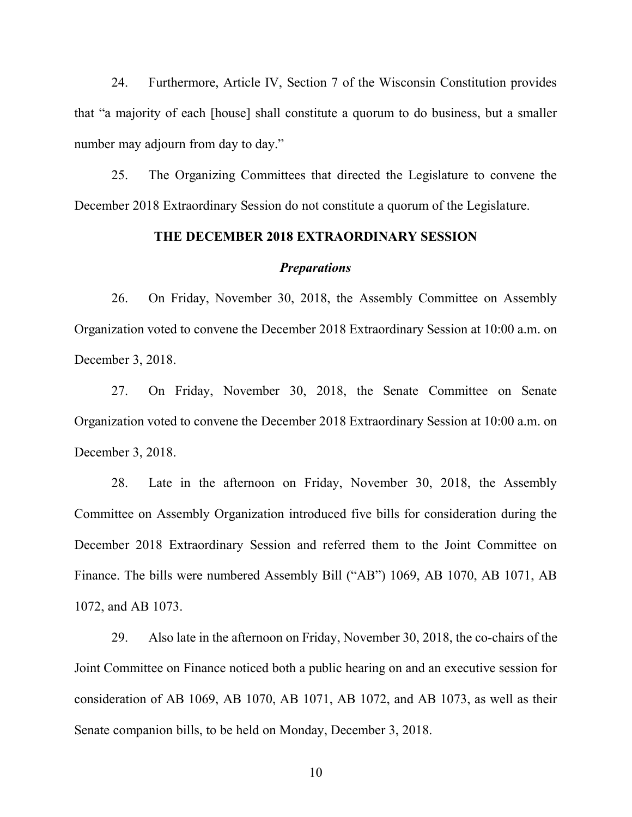24. Furthermore, Article IV, Section 7 of the Wisconsin Constitution provides that "a majority of each [house] shall constitute a quorum to do business, but a smaller number may adjourn from day to day."

25. The Organizing Committees that directed the Legislature to convene the December 2018 Extraordinary Session do not constitute a quorum of the Legislature.

## **THE DECEMBER 2018 EXTRAORDINARY SESSION**

#### *Preparations*

26. On Friday, November 30, 2018, the Assembly Committee on Assembly Organization voted to convene the December 2018 Extraordinary Session at 10:00 a.m. on December 3, 2018.

27. On Friday, November 30, 2018, the Senate Committee on Senate Organization voted to convene the December 2018 Extraordinary Session at 10:00 a.m. on December 3, 2018.

28. Late in the afternoon on Friday, November 30, 2018, the Assembly Committee on Assembly Organization introduced five bills for consideration during the December 2018 Extraordinary Session and referred them to the Joint Committee on Finance. The bills were numbered Assembly Bill ("AB") 1069, AB 1070, AB 1071, AB 1072, and AB 1073.

29. Also late in the afternoon on Friday, November 30, 2018, the co-chairs of the Joint Committee on Finance noticed both a public hearing on and an executive session for consideration of AB 1069, AB 1070, AB 1071, AB 1072, and AB 1073, as well as their Senate companion bills, to be held on Monday, December 3, 2018.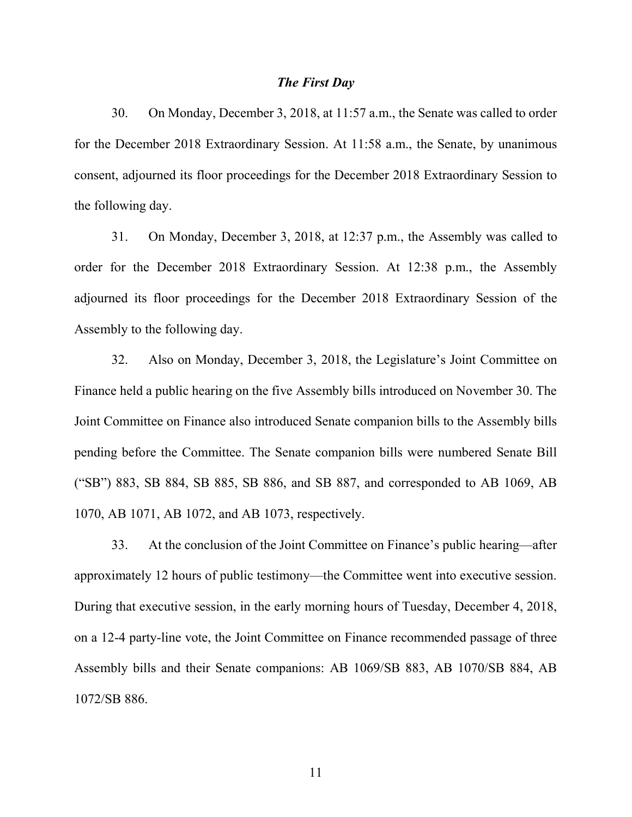#### *The First Day*

30. On Monday, December 3, 2018, at 11:57 a.m., the Senate was called to order for the December 2018 Extraordinary Session. At 11:58 a.m., the Senate, by unanimous consent, adjourned its floor proceedings for the December 2018 Extraordinary Session to the following day.

31. On Monday, December 3, 2018, at 12:37 p.m., the Assembly was called to order for the December 2018 Extraordinary Session. At 12:38 p.m., the Assembly adjourned its floor proceedings for the December 2018 Extraordinary Session of the Assembly to the following day.

32. Also on Monday, December 3, 2018, the Legislature's Joint Committee on Finance held a public hearing on the five Assembly bills introduced on November 30. The Joint Committee on Finance also introduced Senate companion bills to the Assembly bills pending before the Committee. The Senate companion bills were numbered Senate Bill ("SB") 883, SB 884, SB 885, SB 886, and SB 887, and corresponded to AB 1069, AB 1070, AB 1071, AB 1072, and AB 1073, respectively.

33. At the conclusion of the Joint Committee on Finance's public hearing—after approximately 12 hours of public testimony—the Committee went into executive session. During that executive session, in the early morning hours of Tuesday, December 4, 2018, on a 12-4 party-line vote, the Joint Committee on Finance recommended passage of three Assembly bills and their Senate companions: AB 1069/SB 883, AB 1070/SB 884, AB 1072/SB 886.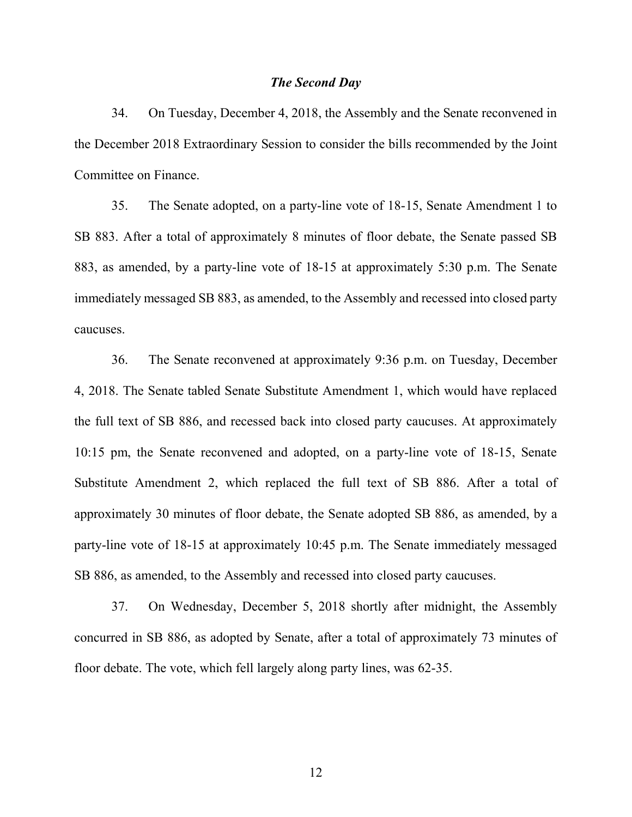### *The Second Day*

34. On Tuesday, December 4, 2018, the Assembly and the Senate reconvened in the December 2018 Extraordinary Session to consider the bills recommended by the Joint Committee on Finance.

35. The Senate adopted, on a party-line vote of 18-15, Senate Amendment 1 to SB 883. After a total of approximately 8 minutes of floor debate, the Senate passed SB 883, as amended, by a party-line vote of 18-15 at approximately 5:30 p.m. The Senate immediately messaged SB 883, as amended, to the Assembly and recessed into closed party caucuses.

36. The Senate reconvened at approximately 9:36 p.m. on Tuesday, December 4, 2018. The Senate tabled Senate Substitute Amendment 1, which would have replaced the full text of SB 886, and recessed back into closed party caucuses. At approximately 10:15 pm, the Senate reconvened and adopted, on a party-line vote of 18-15, Senate Substitute Amendment 2, which replaced the full text of SB 886. After a total of approximately 30 minutes of floor debate, the Senate adopted SB 886, as amended, by a party-line vote of 18-15 at approximately 10:45 p.m. The Senate immediately messaged SB 886, as amended, to the Assembly and recessed into closed party caucuses.

37. On Wednesday, December 5, 2018 shortly after midnight, the Assembly concurred in SB 886, as adopted by Senate, after a total of approximately 73 minutes of floor debate. The vote, which fell largely along party lines, was 62-35.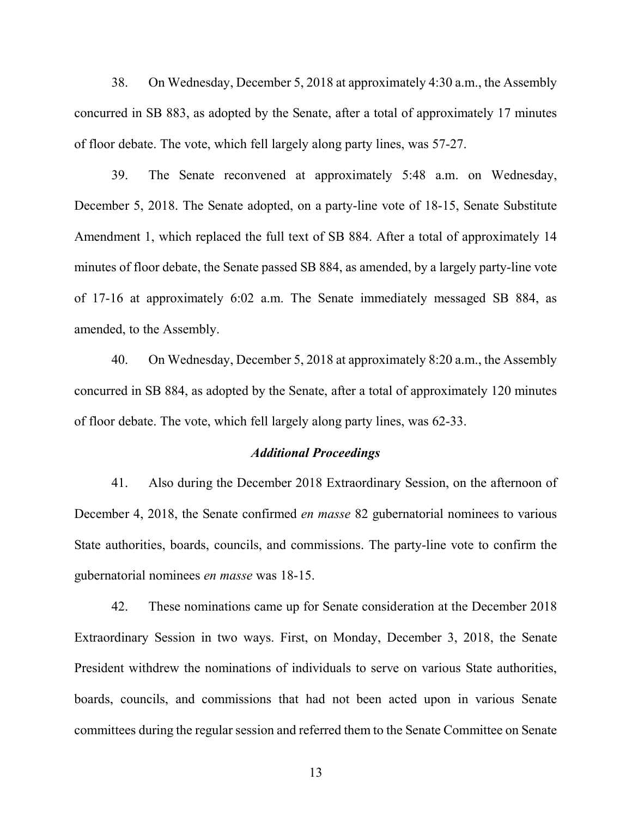38. On Wednesday, December 5, 2018 at approximately 4:30 a.m., the Assembly concurred in SB 883, as adopted by the Senate, after a total of approximately 17 minutes of floor debate. The vote, which fell largely along party lines, was 57-27.

39. The Senate reconvened at approximately 5:48 a.m. on Wednesday, December 5, 2018. The Senate adopted, on a party-line vote of 18-15, Senate Substitute Amendment 1, which replaced the full text of SB 884. After a total of approximately 14 minutes of floor debate, the Senate passed SB 884, as amended, by a largely party-line vote of 17-16 at approximately 6:02 a.m. The Senate immediately messaged SB 884, as amended, to the Assembly.

40. On Wednesday, December 5, 2018 at approximately 8:20 a.m., the Assembly concurred in SB 884, as adopted by the Senate, after a total of approximately 120 minutes of floor debate. The vote, which fell largely along party lines, was 62-33.

#### *Additional Proceedings*

41. Also during the December 2018 Extraordinary Session, on the afternoon of December 4, 2018, the Senate confirmed *en masse* 82 gubernatorial nominees to various State authorities, boards, councils, and commissions. The party-line vote to confirm the gubernatorial nominees *en masse* was 18-15.

42. These nominations came up for Senate consideration at the December 2018 Extraordinary Session in two ways. First, on Monday, December 3, 2018, the Senate President withdrew the nominations of individuals to serve on various State authorities, boards, councils, and commissions that had not been acted upon in various Senate committees during the regular session and referred them to the Senate Committee on Senate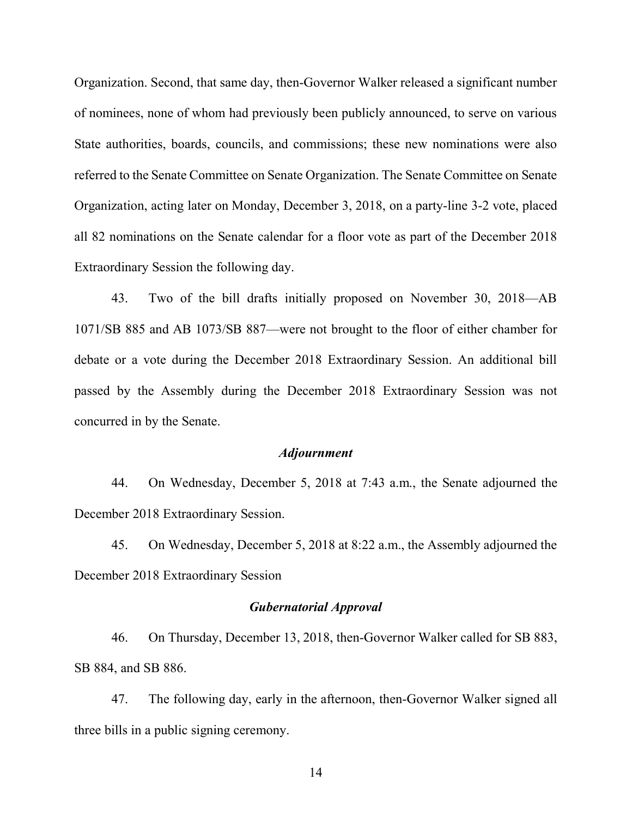Organization. Second, that same day, then-Governor Walker released a significant number of nominees, none of whom had previously been publicly announced, to serve on various State authorities, boards, councils, and commissions; these new nominations were also referred to the Senate Committee on Senate Organization. The Senate Committee on Senate Organization, acting later on Monday, December 3, 2018, on a party-line 3-2 vote, placed all 82 nominations on the Senate calendar for a floor vote as part of the December 2018 Extraordinary Session the following day.

43. Two of the bill drafts initially proposed on November 30, 2018—AB 1071/SB 885 and AB 1073/SB 887—were not brought to the floor of either chamber for debate or a vote during the December 2018 Extraordinary Session. An additional bill passed by the Assembly during the December 2018 Extraordinary Session was not concurred in by the Senate.

#### *Adjournment*

44. On Wednesday, December 5, 2018 at 7:43 a.m., the Senate adjourned the December 2018 Extraordinary Session.

45. On Wednesday, December 5, 2018 at 8:22 a.m., the Assembly adjourned the December 2018 Extraordinary Session

## *Gubernatorial Approval*

46. On Thursday, December 13, 2018, then-Governor Walker called for SB 883, SB 884, and SB 886.

47. The following day, early in the afternoon, then-Governor Walker signed all three bills in a public signing ceremony.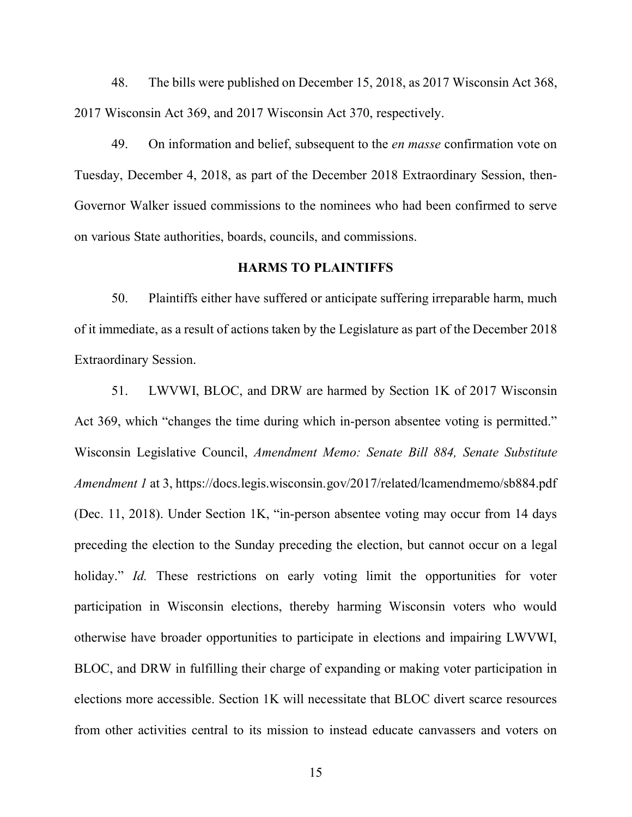48. The bills were published on December 15, 2018, as 2017 Wisconsin Act 368, 2017 Wisconsin Act 369, and 2017 Wisconsin Act 370, respectively.

49. On information and belief, subsequent to the *en masse* confirmation vote on Tuesday, December 4, 2018, as part of the December 2018 Extraordinary Session, then-Governor Walker issued commissions to the nominees who had been confirmed to serve on various State authorities, boards, councils, and commissions.

## **HARMS TO PLAINTIFFS**

50. Plaintiffs either have suffered or anticipate suffering irreparable harm, much of it immediate, as a result of actions taken by the Legislature as part of the December 2018 Extraordinary Session.

51. LWVWI, BLOC, and DRW are harmed by Section 1K of 2017 Wisconsin Act 369, which "changes the time during which in-person absentee voting is permitted." Wisconsin Legislative Council, *Amendment Memo: Senate Bill 884, Senate Substitute Amendment 1* at 3, https://docs.legis.wisconsin.gov/2017/related/lcamendmemo/sb884.pdf (Dec. 11, 2018). Under Section 1K, "in-person absentee voting may occur from 14 days preceding the election to the Sunday preceding the election, but cannot occur on a legal holiday." *Id.* These restrictions on early voting limit the opportunities for voter participation in Wisconsin elections, thereby harming Wisconsin voters who would otherwise have broader opportunities to participate in elections and impairing LWVWI, BLOC, and DRW in fulfilling their charge of expanding or making voter participation in elections more accessible. Section 1K will necessitate that BLOC divert scarce resources from other activities central to its mission to instead educate canvassers and voters on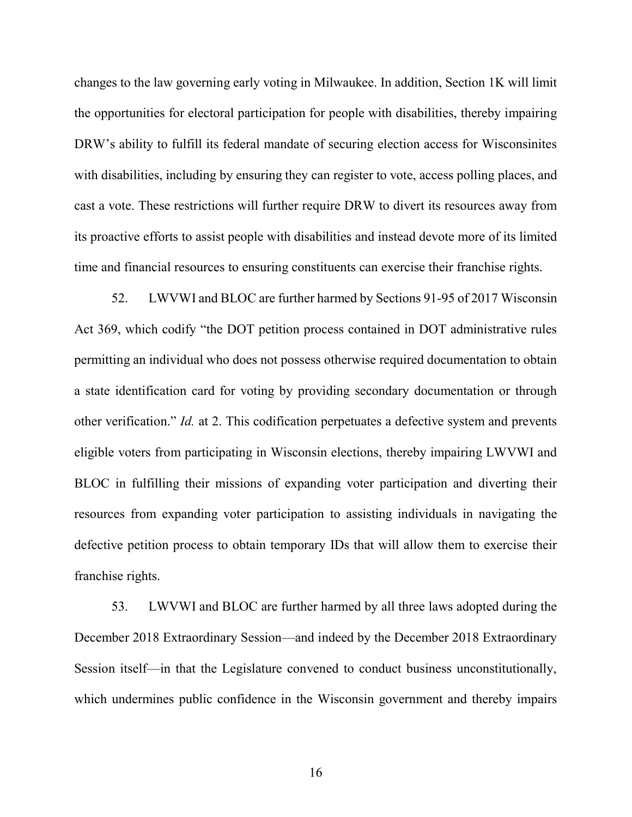changes to the law governing early voting in Milwaukee. In addition, Section 1K will limit the opportunities for electoral participation for people with disabilities, thereby impairing DRW's ability to fulfill its federal mandate of securing election access for Wisconsinites with disabilities, including by ensuring they can register to vote, access polling places, and cast a vote. These restrictions will further require DRW to divert its resources away from its proactive efforts to assist people with disabilities and instead devote more of its limited time and financial resources to ensuring constituents can exercise their franchise rights.

52. LWVWI and BLOC are further harmed by Sections 91-95 of 2017 Wisconsin Act 369, which codify "the DOT petition process contained in DOT administrative rules permitting an individual who does not possess otherwise required documentation to obtain a state identification card for voting by providing secondary documentation or through other verification." *Id.* at 2. This codification perpetuates a defective system and prevents eligible voters from participating in Wisconsin elections, thereby impairing LWVWI and BLOC in fulfilling their missions of expanding voter participation and diverting their resources from expanding voter participation to assisting individuals in navigating the defective petition process to obtain temporary IDs that will allow them to exercise their franchise rights.

53. LWVWI and BLOC are further harmed by all three laws adopted during the December 2018 Extraordinary Session—and indeed by the December 2018 Extraordinary Session itself—in that the Legislature convened to conduct business unconstitutionally, which undermines public confidence in the Wisconsin government and thereby impairs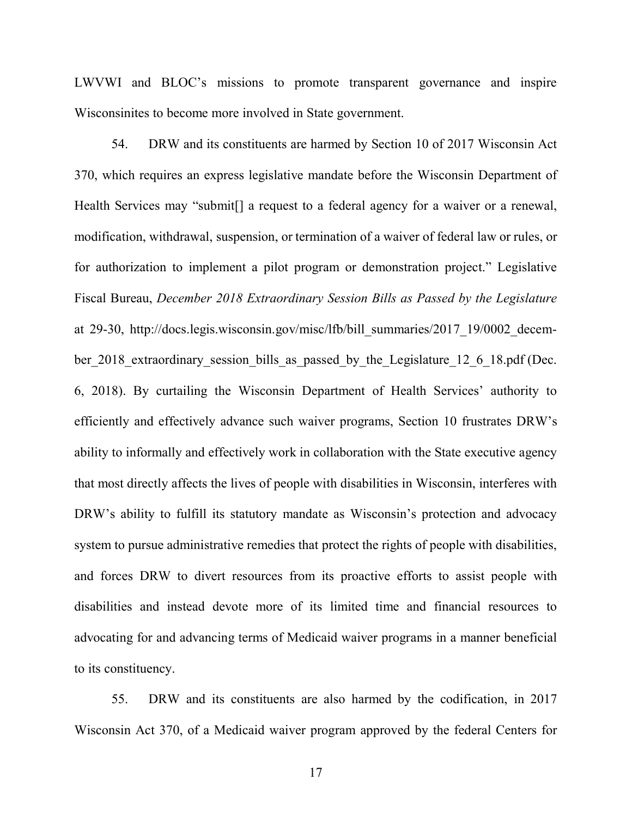LWVWI and BLOC's missions to promote transparent governance and inspire Wisconsinites to become more involved in State government.

54. DRW and its constituents are harmed by Section 10 of 2017 Wisconsin Act 370, which requires an express legislative mandate before the Wisconsin Department of Health Services may "submit[] a request to a federal agency for a waiver or a renewal, modification, withdrawal, suspension, or termination of a waiver of federal law or rules, or for authorization to implement a pilot program or demonstration project." Legislative Fiscal Bureau, *December 2018 Extraordinary Session Bills as Passed by the Legislature* at 29-30, http://docs.legis.wisconsin.gov/misc/lfb/bill\_summaries/2017\_19/0002\_december 2018 extraordinary session bills as passed by the Legislature 12 6 18.pdf (Dec. 6, 2018). By curtailing the Wisconsin Department of Health Services' authority to efficiently and effectively advance such waiver programs, Section 10 frustrates DRW's ability to informally and effectively work in collaboration with the State executive agency that most directly affects the lives of people with disabilities in Wisconsin, interferes with DRW's ability to fulfill its statutory mandate as Wisconsin's protection and advocacy system to pursue administrative remedies that protect the rights of people with disabilities, and forces DRW to divert resources from its proactive efforts to assist people with disabilities and instead devote more of its limited time and financial resources to advocating for and advancing terms of Medicaid waiver programs in a manner beneficial to its constituency.

55. DRW and its constituents are also harmed by the codification, in 2017 Wisconsin Act 370, of a Medicaid waiver program approved by the federal Centers for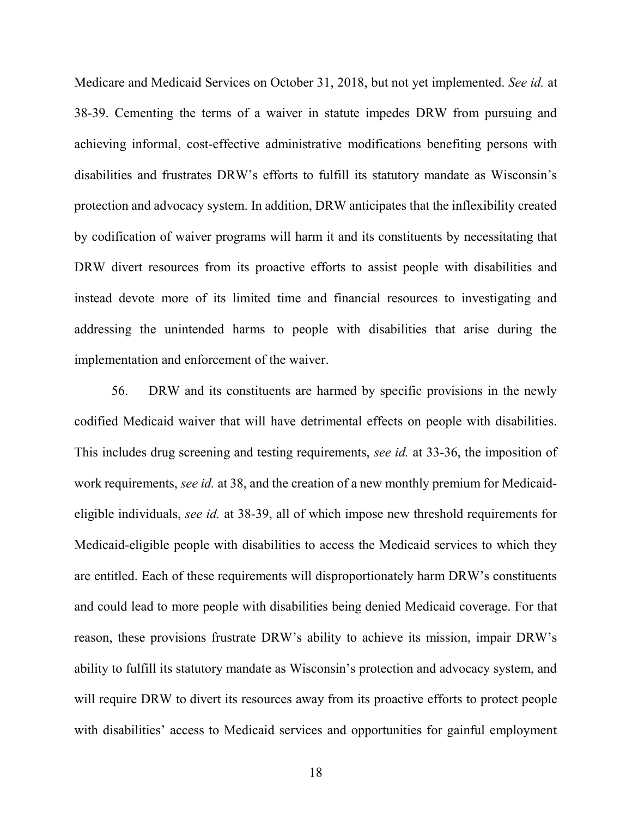Medicare and Medicaid Services on October 31, 2018, but not yet implemented. *See id.* at 38-39. Cementing the terms of a waiver in statute impedes DRW from pursuing and achieving informal, cost-effective administrative modifications benefiting persons with disabilities and frustrates DRW's efforts to fulfill its statutory mandate as Wisconsin's protection and advocacy system. In addition, DRW anticipates that the inflexibility created by codification of waiver programs will harm it and its constituents by necessitating that DRW divert resources from its proactive efforts to assist people with disabilities and instead devote more of its limited time and financial resources to investigating and addressing the unintended harms to people with disabilities that arise during the implementation and enforcement of the waiver.

56. DRW and its constituents are harmed by specific provisions in the newly codified Medicaid waiver that will have detrimental effects on people with disabilities. This includes drug screening and testing requirements, *see id.* at 33-36, the imposition of work requirements, *see id.* at 38, and the creation of a new monthly premium for Medicaideligible individuals, *see id.* at 38-39, all of which impose new threshold requirements for Medicaid-eligible people with disabilities to access the Medicaid services to which they are entitled. Each of these requirements will disproportionately harm DRW's constituents and could lead to more people with disabilities being denied Medicaid coverage. For that reason, these provisions frustrate DRW's ability to achieve its mission, impair DRW's ability to fulfill its statutory mandate as Wisconsin's protection and advocacy system, and will require DRW to divert its resources away from its proactive efforts to protect people with disabilities' access to Medicaid services and opportunities for gainful employment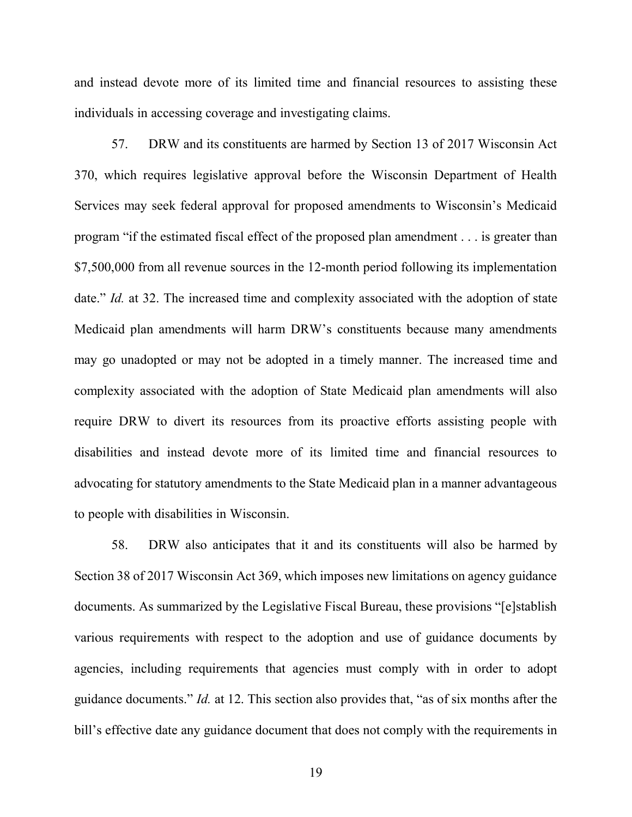and instead devote more of its limited time and financial resources to assisting these individuals in accessing coverage and investigating claims.

57. DRW and its constituents are harmed by Section 13 of 2017 Wisconsin Act 370, which requires legislative approval before the Wisconsin Department of Health Services may seek federal approval for proposed amendments to Wisconsin's Medicaid program "if the estimated fiscal effect of the proposed plan amendment . . . is greater than \$7,500,000 from all revenue sources in the 12-month period following its implementation date." *Id.* at 32. The increased time and complexity associated with the adoption of state Medicaid plan amendments will harm DRW's constituents because many amendments may go unadopted or may not be adopted in a timely manner. The increased time and complexity associated with the adoption of State Medicaid plan amendments will also require DRW to divert its resources from its proactive efforts assisting people with disabilities and instead devote more of its limited time and financial resources to advocating for statutory amendments to the State Medicaid plan in a manner advantageous to people with disabilities in Wisconsin.

58. DRW also anticipates that it and its constituents will also be harmed by Section 38 of 2017 Wisconsin Act 369, which imposes new limitations on agency guidance documents. As summarized by the Legislative Fiscal Bureau, these provisions "[e]stablish various requirements with respect to the adoption and use of guidance documents by agencies, including requirements that agencies must comply with in order to adopt guidance documents." *Id.* at 12. This section also provides that, "as of six months after the bill's effective date any guidance document that does not comply with the requirements in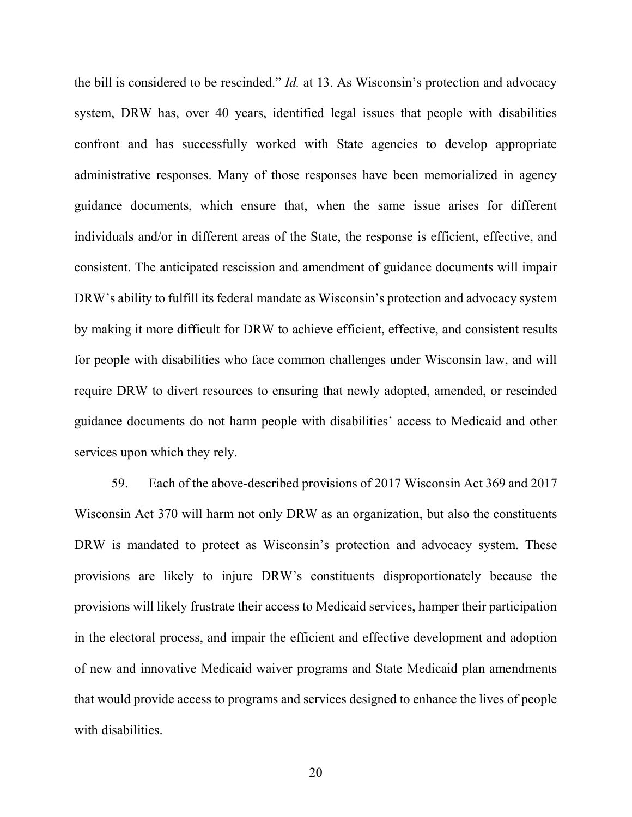the bill is considered to be rescinded." *Id.* at 13. As Wisconsin's protection and advocacy system, DRW has, over 40 years, identified legal issues that people with disabilities confront and has successfully worked with State agencies to develop appropriate administrative responses. Many of those responses have been memorialized in agency guidance documents, which ensure that, when the same issue arises for different individuals and/or in different areas of the State, the response is efficient, effective, and consistent. The anticipated rescission and amendment of guidance documents will impair DRW's ability to fulfill its federal mandate as Wisconsin's protection and advocacy system by making it more difficult for DRW to achieve efficient, effective, and consistent results for people with disabilities who face common challenges under Wisconsin law, and will require DRW to divert resources to ensuring that newly adopted, amended, or rescinded guidance documents do not harm people with disabilities' access to Medicaid and other services upon which they rely.

59. Each of the above-described provisions of 2017 Wisconsin Act 369 and 2017 Wisconsin Act 370 will harm not only DRW as an organization, but also the constituents DRW is mandated to protect as Wisconsin's protection and advocacy system. These provisions are likely to injure DRW's constituents disproportionately because the provisions will likely frustrate their access to Medicaid services, hamper their participation in the electoral process, and impair the efficient and effective development and adoption of new and innovative Medicaid waiver programs and State Medicaid plan amendments that would provide access to programs and services designed to enhance the lives of people with disabilities.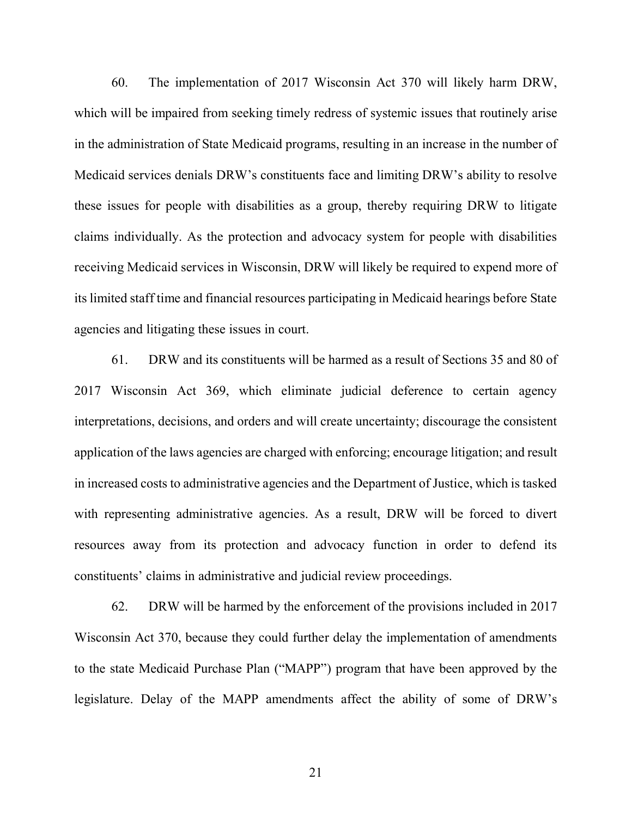60. The implementation of 2017 Wisconsin Act 370 will likely harm DRW, which will be impaired from seeking timely redress of systemic issues that routinely arise in the administration of State Medicaid programs, resulting in an increase in the number of Medicaid services denials DRW's constituents face and limiting DRW's ability to resolve these issues for people with disabilities as a group, thereby requiring DRW to litigate claims individually. As the protection and advocacy system for people with disabilities receiving Medicaid services in Wisconsin, DRW will likely be required to expend more of its limited staff time and financial resources participating in Medicaid hearings before State agencies and litigating these issues in court.

61. DRW and its constituents will be harmed as a result of Sections 35 and 80 of 2017 Wisconsin Act 369, which eliminate judicial deference to certain agency interpretations, decisions, and orders and will create uncertainty; discourage the consistent application of the laws agencies are charged with enforcing; encourage litigation; and result in increased costs to administrative agencies and the Department of Justice, which is tasked with representing administrative agencies. As a result, DRW will be forced to divert resources away from its protection and advocacy function in order to defend its constituents' claims in administrative and judicial review proceedings.

62. DRW will be harmed by the enforcement of the provisions included in 2017 Wisconsin Act 370, because they could further delay the implementation of amendments to the state Medicaid Purchase Plan ("MAPP") program that have been approved by the legislature. Delay of the MAPP amendments affect the ability of some of DRW's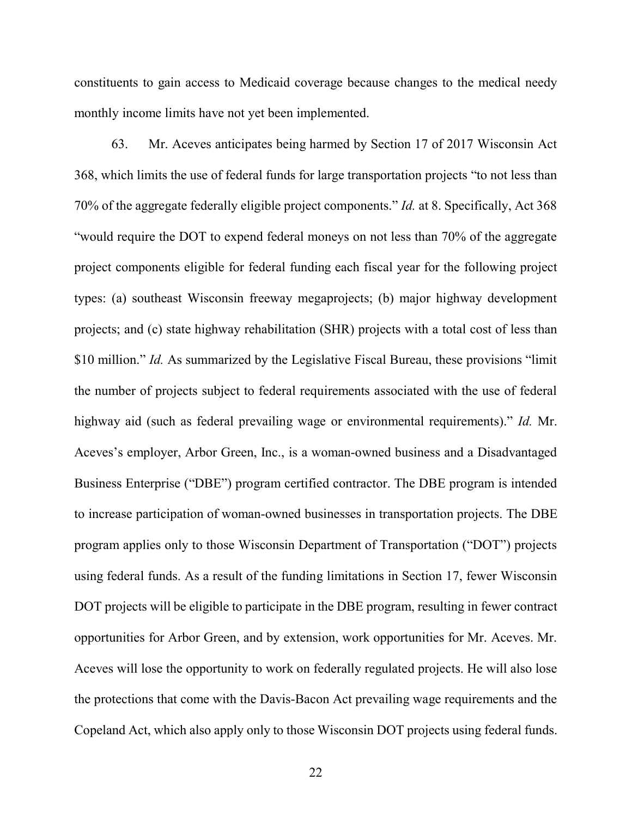constituents to gain access to Medicaid coverage because changes to the medical needy monthly income limits have not yet been implemented.

63. Mr. Aceves anticipates being harmed by Section 17 of 2017 Wisconsin Act 368, which limits the use of federal funds for large transportation projects "to not less than 70% of the aggregate federally eligible project components." *Id.* at 8. Specifically, Act 368 "would require the DOT to expend federal moneys on not less than 70% of the aggregate project components eligible for federal funding each fiscal year for the following project types: (a) southeast Wisconsin freeway megaprojects; (b) major highway development projects; and (c) state highway rehabilitation (SHR) projects with a total cost of less than \$10 million." *Id.* As summarized by the Legislative Fiscal Bureau, these provisions "limit the number of projects subject to federal requirements associated with the use of federal highway aid (such as federal prevailing wage or environmental requirements)." *Id.* Mr. Aceves's employer, Arbor Green, Inc., is a woman-owned business and a Disadvantaged Business Enterprise ("DBE") program certified contractor. The DBE program is intended to increase participation of woman-owned businesses in transportation projects. The DBE program applies only to those Wisconsin Department of Transportation ("DOT") projects using federal funds. As a result of the funding limitations in Section 17, fewer Wisconsin DOT projects will be eligible to participate in the DBE program, resulting in fewer contract opportunities for Arbor Green, and by extension, work opportunities for Mr. Aceves. Mr. Aceves will lose the opportunity to work on federally regulated projects. He will also lose the protections that come with the Davis-Bacon Act prevailing wage requirements and the Copeland Act, which also apply only to those Wisconsin DOT projects using federal funds.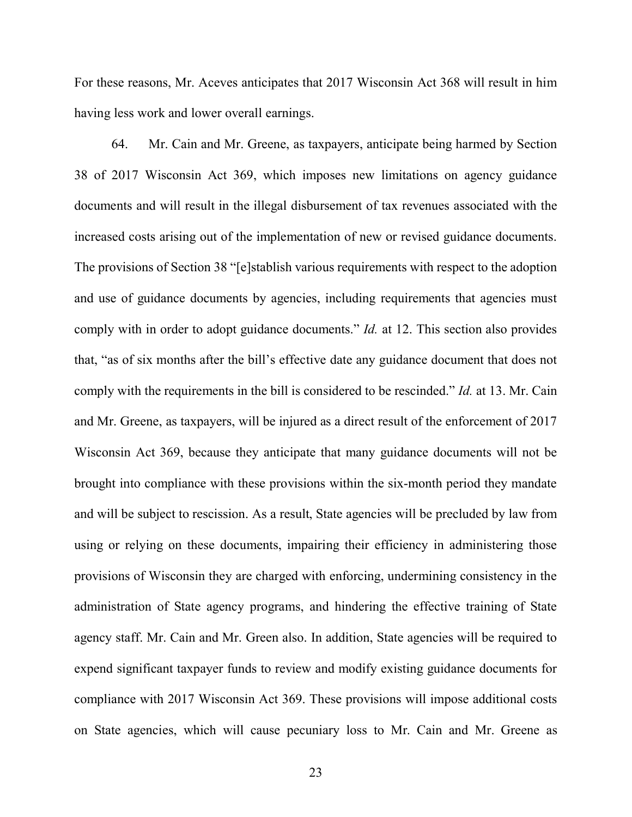For these reasons, Mr. Aceves anticipates that 2017 Wisconsin Act 368 will result in him having less work and lower overall earnings.

64. Mr. Cain and Mr. Greene, as taxpayers, anticipate being harmed by Section 38 of 2017 Wisconsin Act 369, which imposes new limitations on agency guidance documents and will result in the illegal disbursement of tax revenues associated with the increased costs arising out of the implementation of new or revised guidance documents. The provisions of Section 38 "[e]stablish various requirements with respect to the adoption and use of guidance documents by agencies, including requirements that agencies must comply with in order to adopt guidance documents." *Id.* at 12. This section also provides that, "as of six months after the bill's effective date any guidance document that does not comply with the requirements in the bill is considered to be rescinded." *Id.* at 13. Mr. Cain and Mr. Greene, as taxpayers, will be injured as a direct result of the enforcement of 2017 Wisconsin Act 369, because they anticipate that many guidance documents will not be brought into compliance with these provisions within the six-month period they mandate and will be subject to rescission. As a result, State agencies will be precluded by law from using or relying on these documents, impairing their efficiency in administering those provisions of Wisconsin they are charged with enforcing, undermining consistency in the administration of State agency programs, and hindering the effective training of State agency staff. Mr. Cain and Mr. Green also. In addition, State agencies will be required to expend significant taxpayer funds to review and modify existing guidance documents for compliance with 2017 Wisconsin Act 369. These provisions will impose additional costs on State agencies, which will cause pecuniary loss to Mr. Cain and Mr. Greene as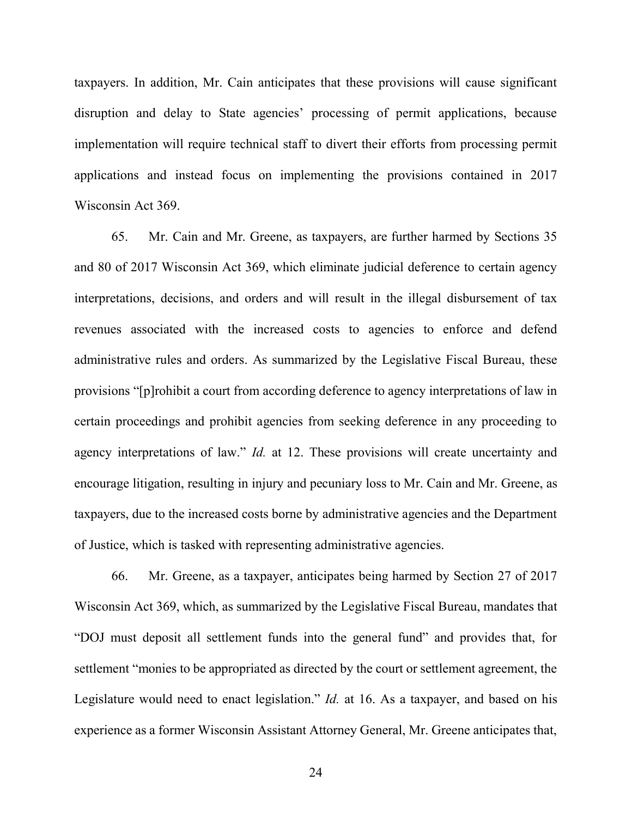taxpayers. In addition, Mr. Cain anticipates that these provisions will cause significant disruption and delay to State agencies' processing of permit applications, because implementation will require technical staff to divert their efforts from processing permit applications and instead focus on implementing the provisions contained in 2017 Wisconsin Act 369.

65. Mr. Cain and Mr. Greene, as taxpayers, are further harmed by Sections 35 and 80 of 2017 Wisconsin Act 369, which eliminate judicial deference to certain agency interpretations, decisions, and orders and will result in the illegal disbursement of tax revenues associated with the increased costs to agencies to enforce and defend administrative rules and orders. As summarized by the Legislative Fiscal Bureau, these provisions "[p]rohibit a court from according deference to agency interpretations of law in certain proceedings and prohibit agencies from seeking deference in any proceeding to agency interpretations of law." *Id.* at 12. These provisions will create uncertainty and encourage litigation, resulting in injury and pecuniary loss to Mr. Cain and Mr. Greene, as taxpayers, due to the increased costs borne by administrative agencies and the Department of Justice, which is tasked with representing administrative agencies.

66. Mr. Greene, as a taxpayer, anticipates being harmed by Section 27 of 2017 Wisconsin Act 369, which, as summarized by the Legislative Fiscal Bureau, mandates that "DOJ must deposit all settlement funds into the general fund" and provides that, for settlement "monies to be appropriated as directed by the court or settlement agreement, the Legislature would need to enact legislation." *Id.* at 16. As a taxpayer, and based on his experience as a former Wisconsin Assistant Attorney General, Mr. Greene anticipates that,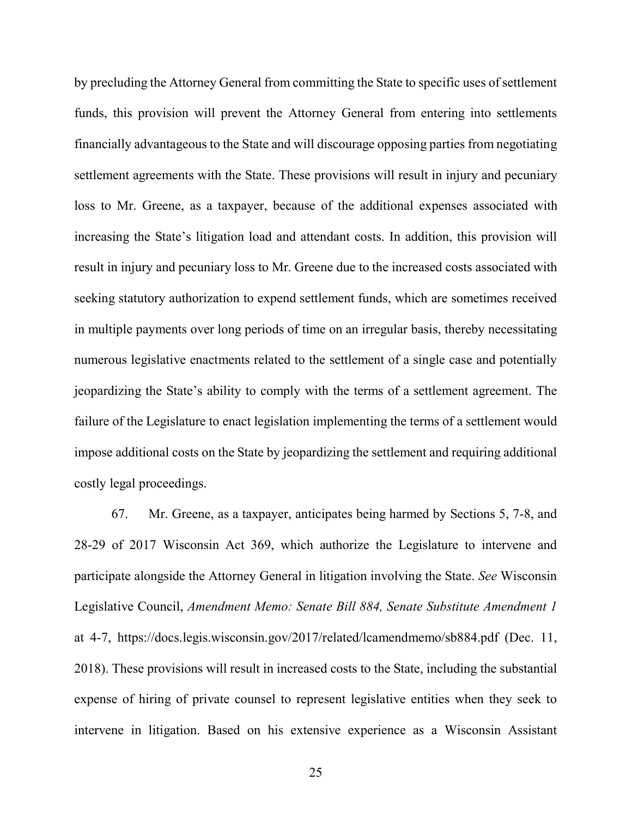by precluding the Attorney General from committing the State to specific uses of settlement funds, this provision will prevent the Attorney General from entering into settlements financially advantageous to the State and will discourage opposing parties from negotiating settlement agreements with the State. These provisions will result in injury and pecuniary loss to Mr. Greene, as a taxpayer, because of the additional expenses associated with increasing the State's litigation load and attendant costs. In addition, this provision will result in injury and pecuniary loss to Mr. Greene due to the increased costs associated with seeking statutory authorization to expend settlement funds, which are sometimes received in multiple payments over long periods of time on an irregular basis, thereby necessitating numerous legislative enactments related to the settlement of a single case and potentially jeopardizing the State's ability to comply with the terms of a settlement agreement. The failure of the Legislature to enact legislation implementing the terms of a settlement would impose additional costs on the State by jeopardizing the settlement and requiring additional costly legal proceedings.

67. Mr. Greene, as a taxpayer, anticipates being harmed by Sections 5, 7-8, and 28-29 of 2017 Wisconsin Act 369, which authorize the Legislature to intervene and participate alongside the Attorney General in litigation involving the State. *See* Wisconsin Legislative Council, *Amendment Memo: Senate Bill 884, Senate Substitute Amendment 1* at 4-7, https://docs.legis.wisconsin.gov/2017/related/lcamendmemo/sb884.pdf (Dec. 11, 2018). These provisions will result in increased costs to the State, including the substantial expense of hiring of private counsel to represent legislative entities when they seek to intervene in litigation. Based on his extensive experience as a Wisconsin Assistant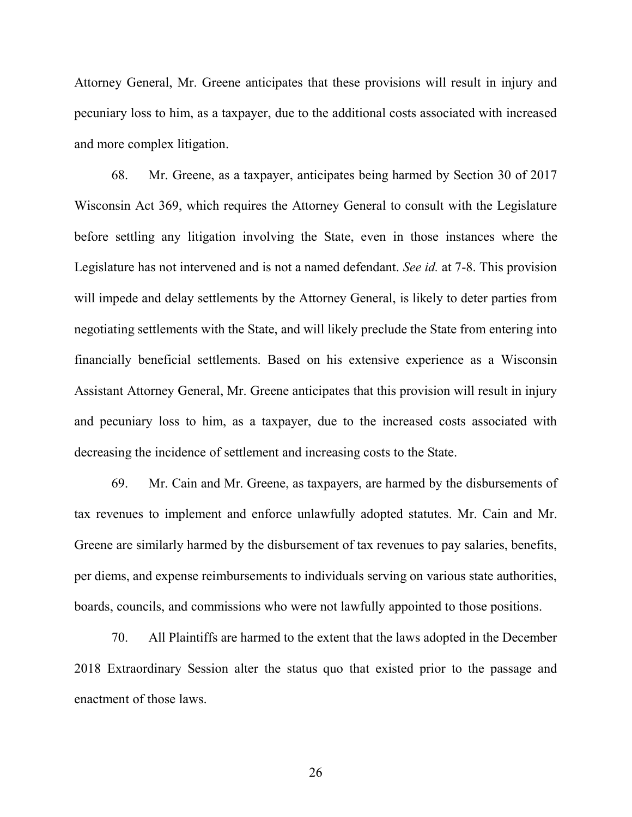Attorney General, Mr. Greene anticipates that these provisions will result in injury and pecuniary loss to him, as a taxpayer, due to the additional costs associated with increased and more complex litigation.

68. Mr. Greene, as a taxpayer, anticipates being harmed by Section 30 of 2017 Wisconsin Act 369, which requires the Attorney General to consult with the Legislature before settling any litigation involving the State, even in those instances where the Legislature has not intervened and is not a named defendant. *See id.* at 7-8. This provision will impede and delay settlements by the Attorney General, is likely to deter parties from negotiating settlements with the State, and will likely preclude the State from entering into financially beneficial settlements. Based on his extensive experience as a Wisconsin Assistant Attorney General, Mr. Greene anticipates that this provision will result in injury and pecuniary loss to him, as a taxpayer, due to the increased costs associated with decreasing the incidence of settlement and increasing costs to the State.

69. Mr. Cain and Mr. Greene, as taxpayers, are harmed by the disbursements of tax revenues to implement and enforce unlawfully adopted statutes. Mr. Cain and Mr. Greene are similarly harmed by the disbursement of tax revenues to pay salaries, benefits, per diems, and expense reimbursements to individuals serving on various state authorities, boards, councils, and commissions who were not lawfully appointed to those positions.

70. All Plaintiffs are harmed to the extent that the laws adopted in the December 2018 Extraordinary Session alter the status quo that existed prior to the passage and enactment of those laws.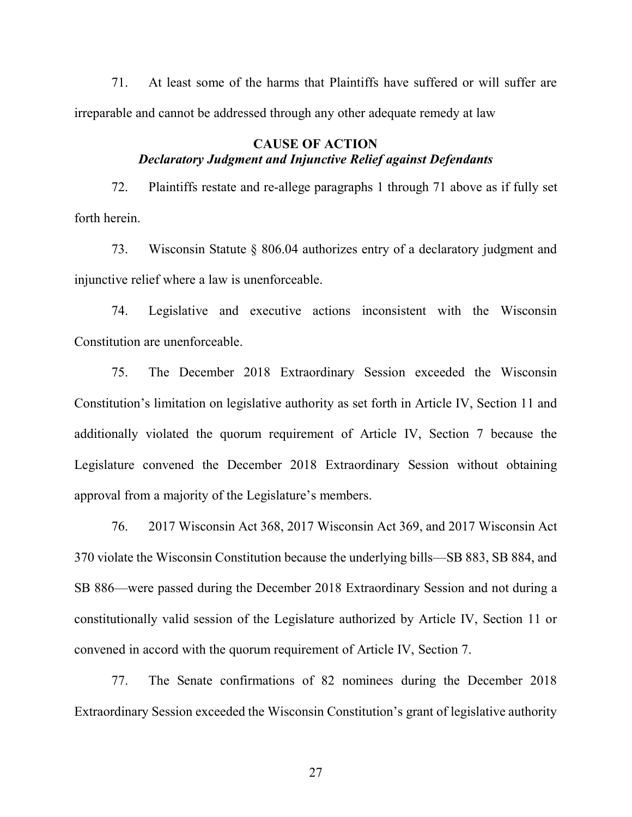71. At least some of the harms that Plaintiffs have suffered or will suffer are irreparable and cannot be addressed through any other adequate remedy at law

# **CAUSE OF ACTION** *Declaratory Judgment and Injunctive Relief against Defendants*

72. Plaintiffs restate and re-allege paragraphs 1 through 71 above as if fully set forth herein.

73. Wisconsin Statute § 806.04 authorizes entry of a declaratory judgment and injunctive relief where a law is unenforceable.

74. Legislative and executive actions inconsistent with the Wisconsin Constitution are unenforceable.

75. The December 2018 Extraordinary Session exceeded the Wisconsin Constitution's limitation on legislative authority as set forth in Article IV, Section 11 and additionally violated the quorum requirement of Article IV, Section 7 because the Legislature convened the December 2018 Extraordinary Session without obtaining approval from a majority of the Legislature's members.

76. 2017 Wisconsin Act 368, 2017 Wisconsin Act 369, and 2017 Wisconsin Act 370 violate the Wisconsin Constitution because the underlying bills—SB 883, SB 884, and SB 886—were passed during the December 2018 Extraordinary Session and not during a constitutionally valid session of the Legislature authorized by Article IV, Section 11 or convened in accord with the quorum requirement of Article IV, Section 7.

77. The Senate confirmations of 82 nominees during the December 2018 Extraordinary Session exceeded the Wisconsin Constitution's grant of legislative authority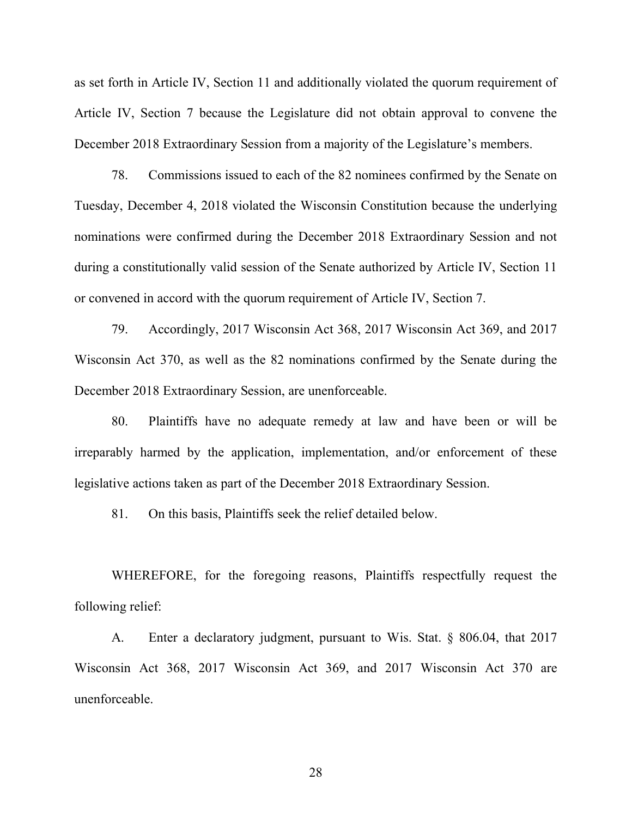as set forth in Article IV, Section 11 and additionally violated the quorum requirement of Article IV, Section 7 because the Legislature did not obtain approval to convene the December 2018 Extraordinary Session from a majority of the Legislature's members.

78. Commissions issued to each of the 82 nominees confirmed by the Senate on Tuesday, December 4, 2018 violated the Wisconsin Constitution because the underlying nominations were confirmed during the December 2018 Extraordinary Session and not during a constitutionally valid session of the Senate authorized by Article IV, Section 11 or convened in accord with the quorum requirement of Article IV, Section 7.

79. Accordingly, 2017 Wisconsin Act 368, 2017 Wisconsin Act 369, and 2017 Wisconsin Act 370, as well as the 82 nominations confirmed by the Senate during the December 2018 Extraordinary Session, are unenforceable.

80. Plaintiffs have no adequate remedy at law and have been or will be irreparably harmed by the application, implementation, and/or enforcement of these legislative actions taken as part of the December 2018 Extraordinary Session.

81. On this basis, Plaintiffs seek the relief detailed below.

WHEREFORE, for the foregoing reasons, Plaintiffs respectfully request the following relief:

A. Enter a declaratory judgment, pursuant to Wis. Stat. § 806.04, that 2017 Wisconsin Act 368, 2017 Wisconsin Act 369, and 2017 Wisconsin Act 370 are unenforceable.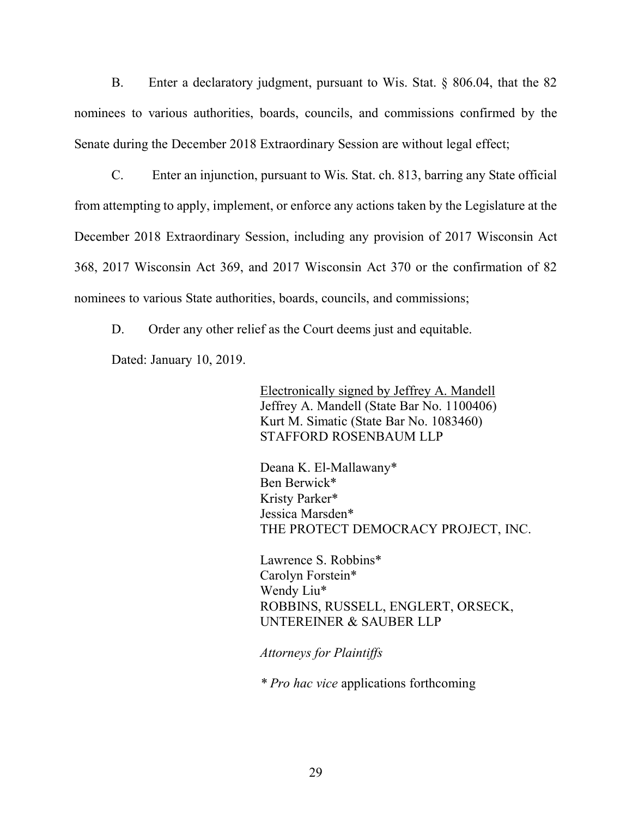B. Enter a declaratory judgment, pursuant to Wis. Stat. § 806.04, that the 82 nominees to various authorities, boards, councils, and commissions confirmed by the Senate during the December 2018 Extraordinary Session are without legal effect;

C. Enter an injunction, pursuant to Wis. Stat. ch. 813, barring any State official from attempting to apply, implement, or enforce any actions taken by the Legislature at the December 2018 Extraordinary Session, including any provision of 2017 Wisconsin Act 368, 2017 Wisconsin Act 369, and 2017 Wisconsin Act 370 or the confirmation of 82 nominees to various State authorities, boards, councils, and commissions;

D. Order any other relief as the Court deems just and equitable.

Dated: January 10, 2019.

Electronically signed by Jeffrey A. Mandell Jeffrey A. Mandell (State Bar No. 1100406) Kurt M. Simatic (State Bar No. 1083460) STAFFORD ROSENBAUM LLP

Deana K. El-Mallawany\* Ben Berwick\* Kristy Parker\* Jessica Marsden\* THE PROTECT DEMOCRACY PROJECT, INC.

Lawrence S. Robbins\* Carolyn Forstein\* Wendy Liu\* ROBBINS, RUSSELL, ENGLERT, ORSECK, UNTEREINER & SAUBER LLP

*Attorneys for Plaintiffs*

*\* Pro hac vice* applications forthcoming